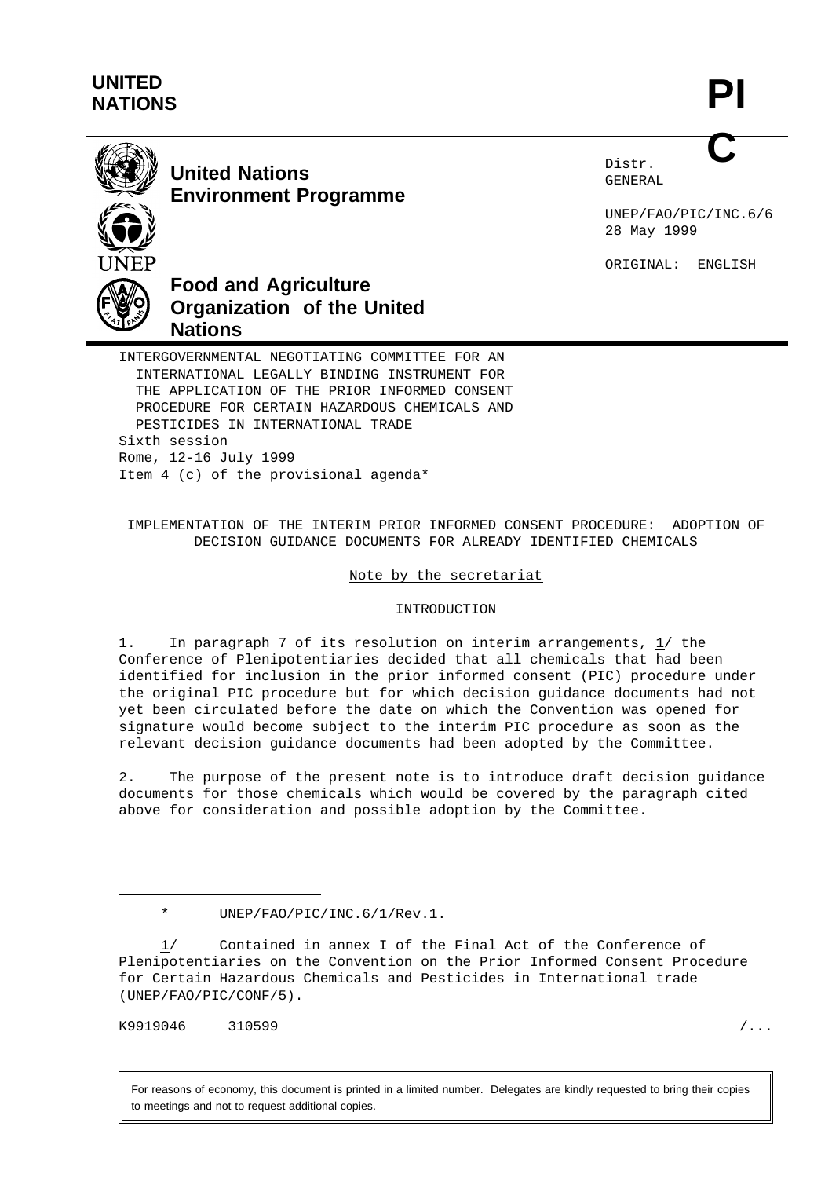# **UNITED NATIONS**

**PI C**



**United Nations Environment Programme** Distr. GENERAL

UNEP/FAO/PIC/INC.6/6 28 May 1999

ORIGINAL: ENGLISH



**Food and Agriculture Organization of the United**

INTERGOVERNMENTAL NEGOTIATING COMMITTEE FOR AN INTERNATIONAL LEGALLY BINDING INSTRUMENT FOR THE APPLICATION OF THE PRIOR INFORMED CONSENT PROCEDURE FOR CERTAIN HAZARDOUS CHEMICALS AND PESTICIDES IN INTERNATIONAL TRADE Sixth session Rome, 12-16 July 1999 Item 4 (c) of the provisional agenda\*

# IMPLEMENTATION OF THE INTERIM PRIOR INFORMED CONSENT PROCEDURE: ADOPTION OF DECISION GUIDANCE DOCUMENTS FOR ALREADY IDENTIFIED CHEMICALS

## Note by the secretariat

## INTRODUCTION

1. In paragraph 7 of its resolution on interim arrangements, 1/ the Conference of Plenipotentiaries decided that all chemicals that had been identified for inclusion in the prior informed consent (PIC) procedure under the original PIC procedure but for which decision guidance documents had not yet been circulated before the date on which the Convention was opened for signature would become subject to the interim PIC procedure as soon as the relevant decision guidance documents had been adopted by the Committee.

2. The purpose of the present note is to introduce draft decision guidance documents for those chemicals which would be covered by the paragraph cited above for consideration and possible adoption by the Committee.

K9919046 310599 /...

For reasons of economy, this document is printed in a limited number. Delegates are kindly requested to bring their copies to meetings and not to request additional copies.

<sup>\*</sup> UNEP/FAO/PIC/INC.6/1/Rev.1.

<sup>1/</sup> Contained in annex I of the Final Act of the Conference of Plenipotentiaries on the Convention on the Prior Informed Consent Procedure for Certain Hazardous Chemicals and Pesticides in International trade (UNEP/FAO/PIC/CONF/5).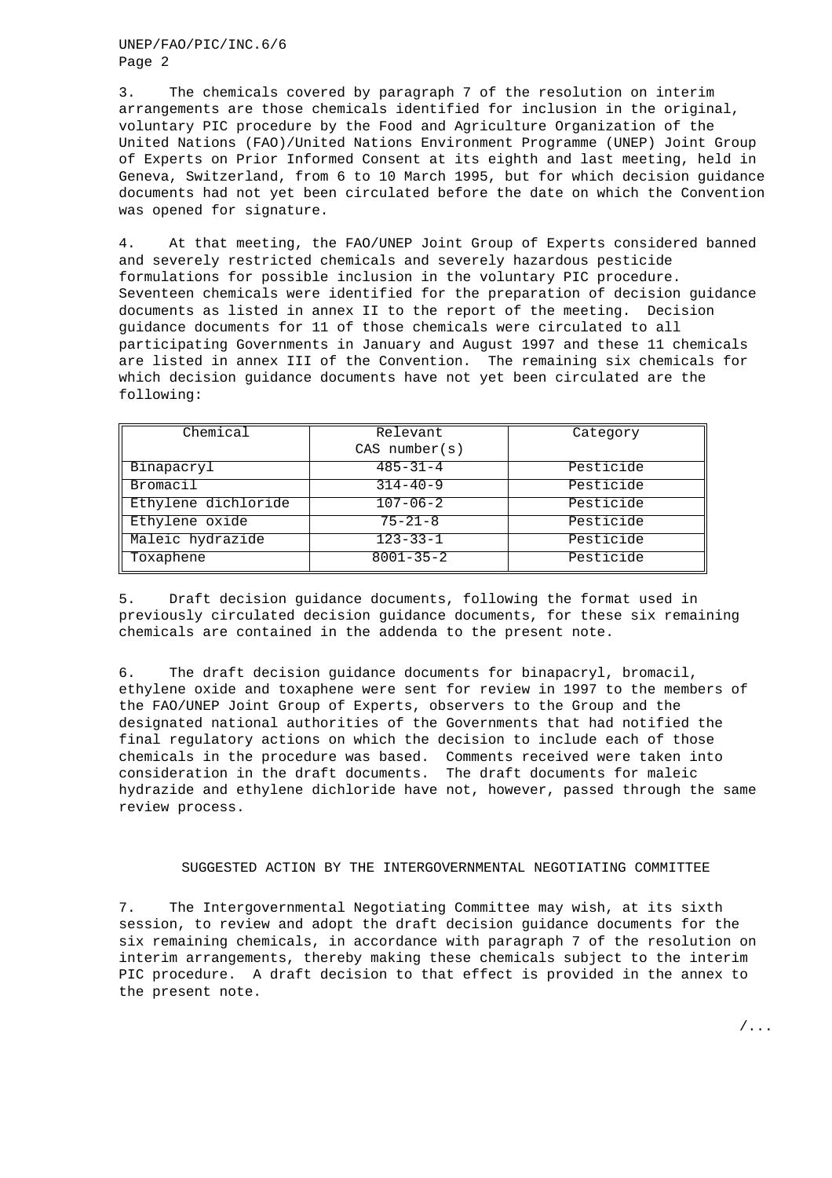UNEP/FAO/PIC/INC.6/6 Page 2

3. The chemicals covered by paragraph 7 of the resolution on interim arrangements are those chemicals identified for inclusion in the original, voluntary PIC procedure by the Food and Agriculture Organization of the United Nations (FAO)/United Nations Environment Programme (UNEP) Joint Group of Experts on Prior Informed Consent at its eighth and last meeting, held in Geneva, Switzerland, from 6 to 10 March 1995, but for which decision guidance documents had not yet been circulated before the date on which the Convention was opened for signature.

4. At that meeting, the FAO/UNEP Joint Group of Experts considered banned and severely restricted chemicals and severely hazardous pesticide formulations for possible inclusion in the voluntary PIC procedure. Seventeen chemicals were identified for the preparation of decision guidance documents as listed in annex II to the report of the meeting. Decision guidance documents for 11 of those chemicals were circulated to all participating Governments in January and August 1997 and these 11 chemicals are listed in annex III of the Convention. The remaining six chemicals for which decision guidance documents have not yet been circulated are the following:

| Chemical            | Relevant           | Category  |
|---------------------|--------------------|-----------|
|                     | $CAS$ number $(s)$ |           |
| Binapacryl          | $485 - 31 - 4$     | Pesticide |
| Bromacil            | $314 - 40 - 9$     | Pesticide |
| Ethylene dichloride | $107 - 06 - 2$     | Pesticide |
| Ethylene oxide      | $75 - 21 - 8$      | Pesticide |
| Maleic hydrazide    | $123 - 33 - 1$     | Pesticide |
| Toxaphene           | $8001 - 35 - 2$    | Pesticide |

5. Draft decision guidance documents, following the format used in previously circulated decision guidance documents, for these six remaining chemicals are contained in the addenda to the present note.

6. The draft decision guidance documents for binapacryl, bromacil, ethylene oxide and toxaphene were sent for review in 1997 to the members of the FAO/UNEP Joint Group of Experts, observers to the Group and the designated national authorities of the Governments that had notified the final regulatory actions on which the decision to include each of those chemicals in the procedure was based. Comments received were taken into consideration in the draft documents. The draft documents for maleic hydrazide and ethylene dichloride have not, however, passed through the same review process.

#### SUGGESTED ACTION BY THE INTERGOVERNMENTAL NEGOTIATING COMMITTEE

7. The Intergovernmental Negotiating Committee may wish, at its sixth session, to review and adopt the draft decision guidance documents for the six remaining chemicals, in accordance with paragraph 7 of the resolution on interim arrangements, thereby making these chemicals subject to the interim PIC procedure. A draft decision to that effect is provided in the annex to the present note.